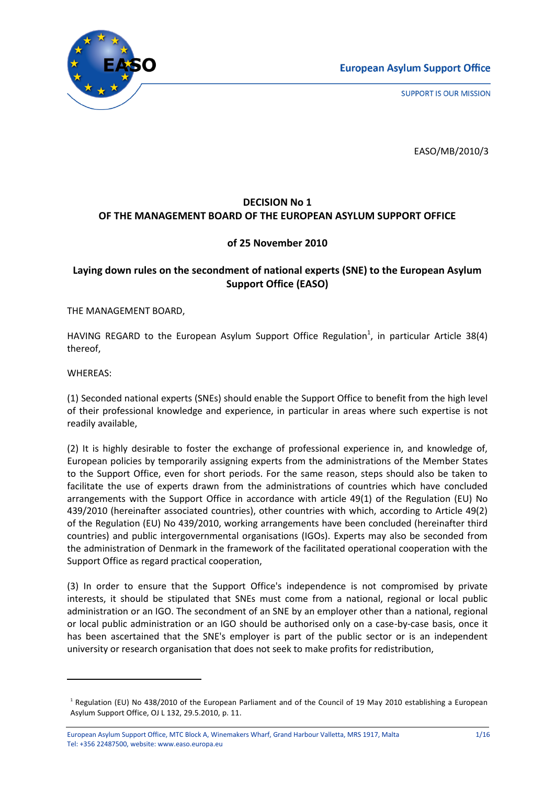

**SUPPORT IS OUR MISSION** 

EASO/MB/2010/3

## **DECISION No 1 OF THE MANAGEMENT BOARD OF THE EUROPEAN ASYLUM SUPPORT OFFICE**

## **of 25 November 2010**

## **Laying down rules on the secondment of national experts (SNE) to the European Asylum Support Office (EASO)**

THE MANAGEMENT BOARD,

HAVING REGARD to the European Asylum Support Office Regulation<sup>1</sup>, in particular Article 38(4) thereof,

WHEREAS:

<u>.</u>

(1) Seconded national experts (SNEs) should enable the Support Office to benefit from the high level of their professional knowledge and experience, in particular in areas where such expertise is not readily available,

(2) It is highly desirable to foster the exchange of professional experience in, and knowledge of, European policies by temporarily assigning experts from the administrations of the Member States to the Support Office, even for short periods. For the same reason, steps should also be taken to facilitate the use of experts drawn from the administrations of countries which have concluded arrangements with the Support Office in accordance with article 49(1) of the Regulation (EU) No 439/2010 (hereinafter associated countries), other countries with which, according to Article 49(2) of the Regulation (EU) No 439/2010, working arrangements have been concluded (hereinafter third countries) and public intergovernmental organisations (IGOs). Experts may also be seconded from the administration of Denmark in the framework of the facilitated operational cooperation with the Support Office as regard practical cooperation,

(3) In order to ensure that the Support Office's independence is not compromised by private interests, it should be stipulated that SNEs must come from a national, regional or local public administration or an IGO. The secondment of an SNE by an employer other than a national, regional or local public administration or an IGO should be authorised only on a case-by-case basis, once it has been ascertained that the SNE's employer is part of the public sector or is an independent university or research organisation that does not seek to make profits for redistribution,

<sup>&</sup>lt;sup>1</sup> Regulation (EU) No 438/2010 of the European Parliament and of the Council of 19 May 2010 establishing a European Asylum Support Office, OJ L 132, 29.5.2010, p. 11.

European Asylum Support Office, MTC Block A, Winemakers Wharf, Grand Harbour Valletta, MRS 1917, Malta 1/16 Tel: +356 22487500, website: www.easo.europa.eu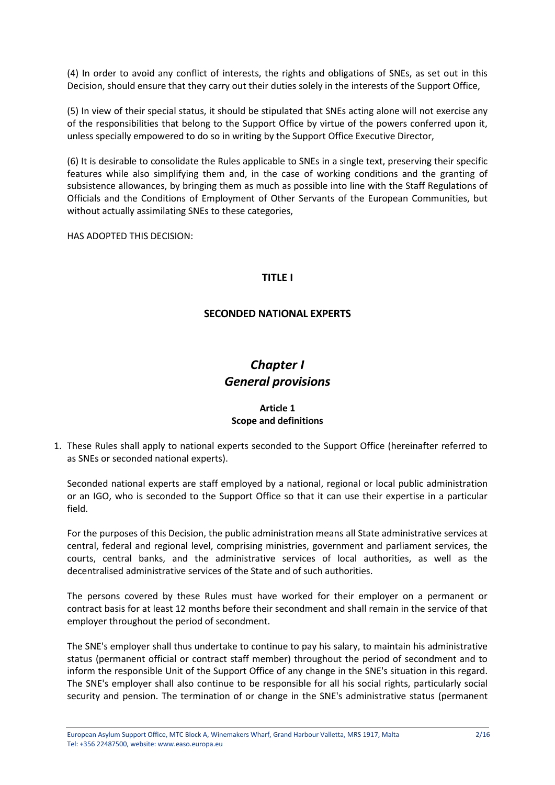(4) In order to avoid any conflict of interests, the rights and obligations of SNEs, as set out in this Decision, should ensure that they carry out their duties solely in the interests of the Support Office,

(5) In view of their special status, it should be stipulated that SNEs acting alone will not exercise any of the responsibilities that belong to the Support Office by virtue of the powers conferred upon it, unless specially empowered to do so in writing by the Support Office Executive Director,

(6) It is desirable to consolidate the Rules applicable to SNEs in a single text, preserving their specific features while also simplifying them and, in the case of working conditions and the granting of subsistence allowances, by bringing them as much as possible into line with the Staff Regulations of Officials and the Conditions of Employment of Other Servants of the European Communities, but without actually assimilating SNEs to these categories,

HAS ADOPTED THIS DECISION:

## **TITLE I**

## **SECONDED NATIONAL EXPERTS**

# *Chapter I General provisions*

## **Article 1 Scope and definitions**

1. These Rules shall apply to national experts seconded to the Support Office (hereinafter referred to as SNEs or seconded national experts).

Seconded national experts are staff employed by a national, regional or local public administration or an IGO, who is seconded to the Support Office so that it can use their expertise in a particular field.

For the purposes of this Decision, the public administration means all State administrative services at central, federal and regional level, comprising ministries, government and parliament services, the courts, central banks, and the administrative services of local authorities, as well as the decentralised administrative services of the State and of such authorities.

The persons covered by these Rules must have worked for their employer on a permanent or contract basis for at least 12 months before their secondment and shall remain in the service of that employer throughout the period of secondment.

The SNE's employer shall thus undertake to continue to pay his salary, to maintain his administrative status (permanent official or contract staff member) throughout the period of secondment and to inform the responsible Unit of the Support Office of any change in the SNE's situation in this regard. The SNE's employer shall also continue to be responsible for all his social rights, particularly social security and pension. The termination of or change in the SNE's administrative status (permanent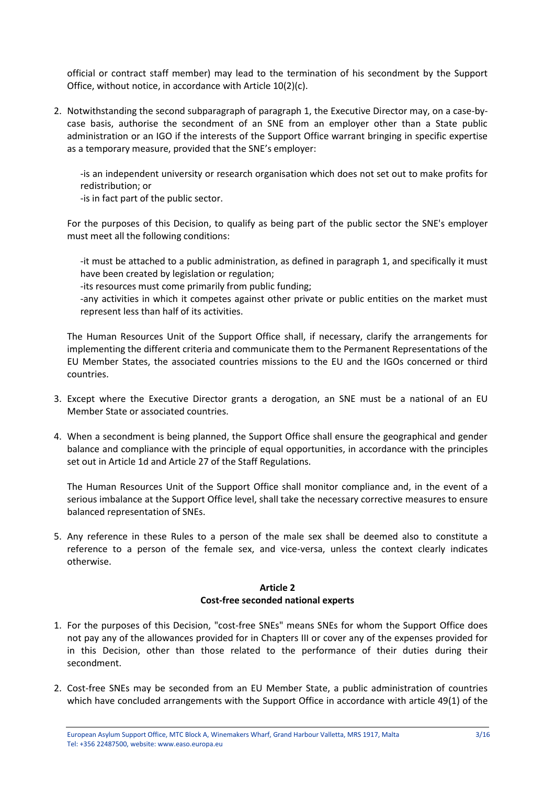official or contract staff member) may lead to the termination of his secondment by the Support Office, without notice, in accordance with Article 10(2)(c).

2. Notwithstanding the second subparagraph of paragraph 1, the Executive Director may, on a case-bycase basis, authorise the secondment of an SNE from an employer other than a State public administration or an IGO if the interests of the Support Office warrant bringing in specific expertise as a temporary measure, provided that the SNE's employer:

-is an independent university or research organisation which does not set out to make profits for redistribution; or

-is in fact part of the public sector.

For the purposes of this Decision, to qualify as being part of the public sector the SNE's employer must meet all the following conditions:

-it must be attached to a public administration, as defined in paragraph 1, and specifically it must have been created by legislation or regulation;

-its resources must come primarily from public funding;

-any activities in which it competes against other private or public entities on the market must represent less than half of its activities.

The Human Resources Unit of the Support Office shall, if necessary, clarify the arrangements for implementing the different criteria and communicate them to the Permanent Representations of the EU Member States, the associated countries missions to the EU and the IGOs concerned or third countries.

- 3. Except where the Executive Director grants a derogation, an SNE must be a national of an EU Member State or associated countries.
- 4. When a secondment is being planned, the Support Office shall ensure the geographical and gender balance and compliance with the principle of equal opportunities, in accordance with the principles set out in Article 1d and Article 27 of the Staff Regulations.

The Human Resources Unit of the Support Office shall monitor compliance and, in the event of a serious imbalance at the Support Office level, shall take the necessary corrective measures to ensure balanced representation of SNEs.

5. Any reference in these Rules to a person of the male sex shall be deemed also to constitute a reference to a person of the female sex, and vice-versa, unless the context clearly indicates otherwise.

## **Article 2 Cost-free seconded national experts**

- 1. For the purposes of this Decision, "cost-free SNEs" means SNEs for whom the Support Office does not pay any of the allowances provided for in Chapters III or cover any of the expenses provided for in this Decision, other than those related to the performance of their duties during their secondment.
- 2. Cost-free SNEs may be seconded from an EU Member State, a public administration of countries which have concluded arrangements with the Support Office in accordance with article 49(1) of the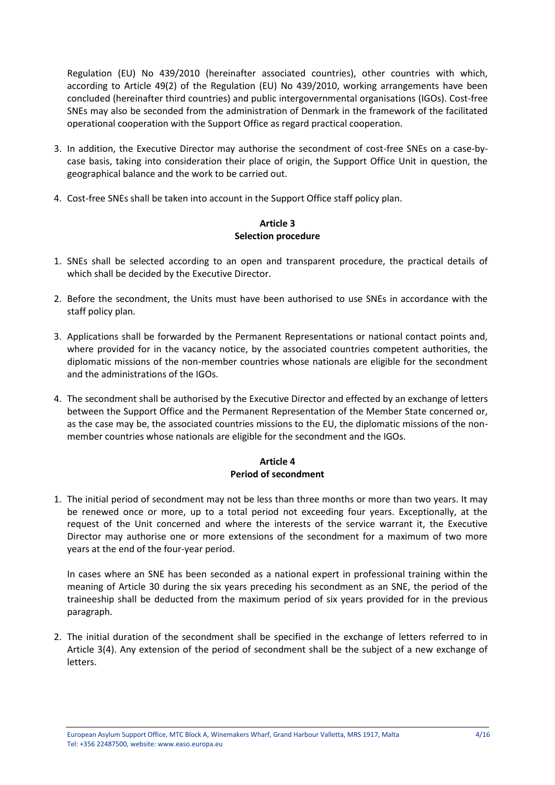Regulation (EU) No 439/2010 (hereinafter associated countries), other countries with which, according to Article 49(2) of the Regulation (EU) No 439/2010, working arrangements have been concluded (hereinafter third countries) and public intergovernmental organisations (IGOs). Cost-free SNEs may also be seconded from the administration of Denmark in the framework of the facilitated operational cooperation with the Support Office as regard practical cooperation.

- 3. In addition, the Executive Director may authorise the secondment of cost-free SNEs on a case-bycase basis, taking into consideration their place of origin, the Support Office Unit in question, the geographical balance and the work to be carried out.
- 4. Cost-free SNEs shall be taken into account in the Support Office staff policy plan.

#### **Article 3 Selection procedure**

- 1. SNEs shall be selected according to an open and transparent procedure, the practical details of which shall be decided by the Executive Director.
- 2. Before the secondment, the Units must have been authorised to use SNEs in accordance with the staff policy plan.
- 3. Applications shall be forwarded by the Permanent Representations or national contact points and, where provided for in the vacancy notice, by the associated countries competent authorities, the diplomatic missions of the non-member countries whose nationals are eligible for the secondment and the administrations of the IGOs.
- 4. The secondment shall be authorised by the Executive Director and effected by an exchange of letters between the Support Office and the Permanent Representation of the Member State concerned or, as the case may be, the associated countries missions to the EU, the diplomatic missions of the nonmember countries whose nationals are eligible for the secondment and the IGOs.

## **Article 4 Period of secondment**

1. The initial period of secondment may not be less than three months or more than two years. It may be renewed once or more, up to a total period not exceeding four years. Exceptionally, at the request of the Unit concerned and where the interests of the service warrant it, the Executive Director may authorise one or more extensions of the secondment for a maximum of two more years at the end of the four-year period.

In cases where an SNE has been seconded as a national expert in professional training within the meaning of Article 30 during the six years preceding his secondment as an SNE, the period of the traineeship shall be deducted from the maximum period of six years provided for in the previous paragraph.

2. The initial duration of the secondment shall be specified in the exchange of letters referred to in Article 3(4). Any extension of the period of secondment shall be the subject of a new exchange of letters.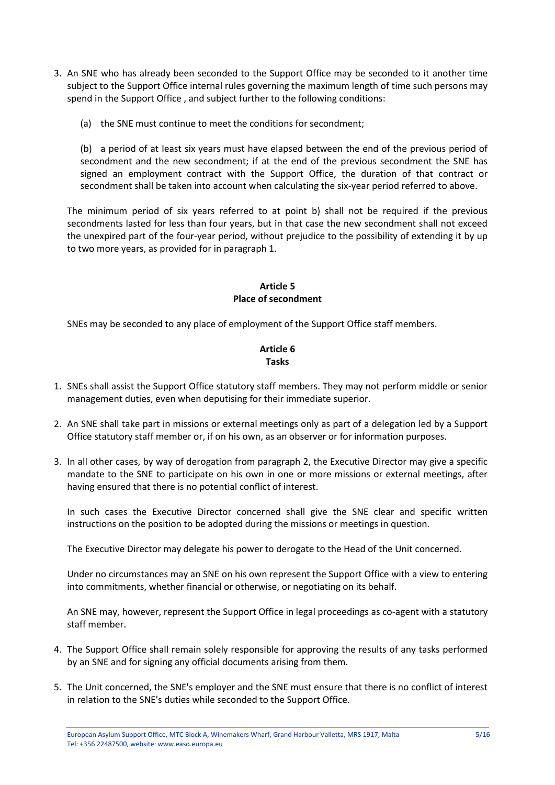- 3. An SNE who has already been seconded to the Support Office may be seconded to it another time subject to the Support Office internal rules governing the maximum length of time such persons may spend in the Support Office , and subject further to the following conditions:
	- (a) the SNE must continue to meet the conditions for secondment;

(b) a period of at least six years must have elapsed between the end of the previous period of secondment and the new secondment; if at the end of the previous secondment the SNE has signed an employment contract with the Support Office, the duration of that contract or secondment shall be taken into account when calculating the six-year period referred to above.

The minimum period of six years referred to at point b) shall not be required if the previous secondments lasted for less than four years, but in that case the new secondment shall not exceed the unexpired part of the four-year period, without prejudice to the possibility of extending it by up to two more years, as provided for in paragraph 1.

## **Article 5 Place of secondment**

SNEs may be seconded to any place of employment of the Support Office staff members.

#### **Article 6 Tasks**

- 1. SNEs shall assist the Support Office statutory staff members. They may not perform middle or senior management duties, even when deputising for their immediate superior.
- 2. An SNE shall take part in missions or external meetings only as part of a delegation led by a Support Office statutory staff member or, if on his own, as an observer or for information purposes.
- 3. In all other cases, by way of derogation from paragraph 2, the Executive Director may give a specific mandate to the SNE to participate on his own in one or more missions or external meetings, after having ensured that there is no potential conflict of interest.

In such cases the Executive Director concerned shall give the SNE clear and specific written instructions on the position to be adopted during the missions or meetings in question.

The Executive Director may delegate his power to derogate to the Head of the Unit concerned.

Under no circumstances may an SNE on his own represent the Support Office with a view to entering into commitments, whether financial or otherwise, or negotiating on its behalf.

An SNE may, however, represent the Support Office in legal proceedings as co-agent with a statutory staff member.

- 4. The Support Office shall remain solely responsible for approving the results of any tasks performed by an SNE and for signing any official documents arising from them.
- 5. The Unit concerned, the SNE's employer and the SNE must ensure that there is no conflict of interest in relation to the SNE's duties while seconded to the Support Office.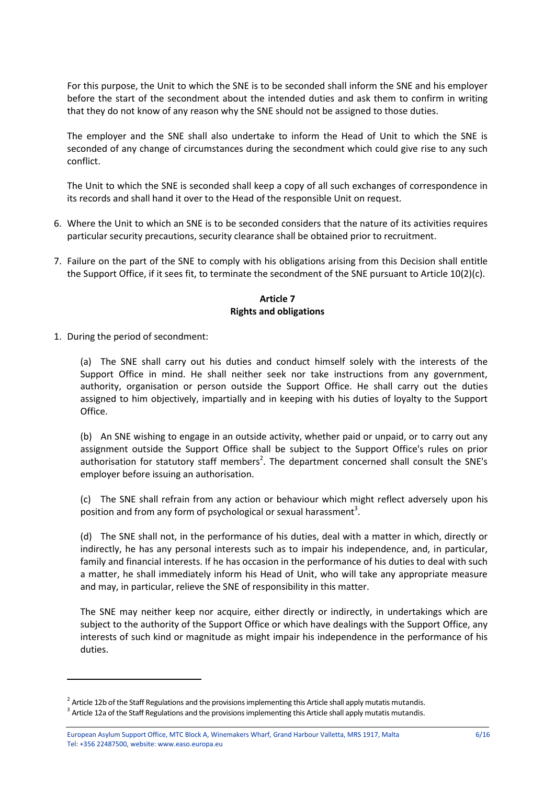For this purpose, the Unit to which the SNE is to be seconded shall inform the SNE and his employer before the start of the secondment about the intended duties and ask them to confirm in writing that they do not know of any reason why the SNE should not be assigned to those duties.

The employer and the SNE shall also undertake to inform the Head of Unit to which the SNE is seconded of any change of circumstances during the secondment which could give rise to any such conflict.

The Unit to which the SNE is seconded shall keep a copy of all such exchanges of correspondence in its records and shall hand it over to the Head of the responsible Unit on request.

- 6. Where the Unit to which an SNE is to be seconded considers that the nature of its activities requires particular security precautions, security clearance shall be obtained prior to recruitment.
- 7. Failure on the part of the SNE to comply with his obligations arising from this Decision shall entitle the Support Office, if it sees fit, to terminate the secondment of the SNE pursuant to Article 10(2)(c).

#### **Article 7 Rights and obligations**

1. During the period of secondment:

<u>.</u>

(a) The SNE shall carry out his duties and conduct himself solely with the interests of the Support Office in mind. He shall neither seek nor take instructions from any government, authority, organisation or person outside the Support Office. He shall carry out the duties assigned to him objectively, impartially and in keeping with his duties of loyalty to the Support Office.

(b) An SNE wishing to engage in an outside activity, whether paid or unpaid, or to carry out any assignment outside the Support Office shall be subject to the Support Office's rules on prior authorisation for statutory staff members<sup>2</sup>. The department concerned shall consult the SNE's employer before issuing an authorisation.

(c) The SNE shall refrain from any action or behaviour which might reflect adversely upon his position and from any form of psychological or sexual harassment<sup>3</sup>.

(d) The SNE shall not, in the performance of his duties, deal with a matter in which, directly or indirectly, he has any personal interests such as to impair his independence, and, in particular, family and financial interests. If he has occasion in the performance of his duties to deal with such a matter, he shall immediately inform his Head of Unit, who will take any appropriate measure and may, in particular, relieve the SNE of responsibility in this matter.

The SNE may neither keep nor acquire, either directly or indirectly, in undertakings which are subject to the authority of the Support Office or which have dealings with the Support Office, any interests of such kind or magnitude as might impair his independence in the performance of his duties.

 $^2$  Article 12b of the Staff Regulations and the provisions implementing this Article shall apply mutatis mutandis.

 $^3$  Article 12a of the Staff Regulations and the provisions implementing this Article shall apply mutatis mutandis.

European Asylum Support Office, MTC Block A, Winemakers Wharf, Grand Harbour Valletta, MRS 1917, Malta 6/16 Tel: +356 22487500, website: www.easo.europa.eu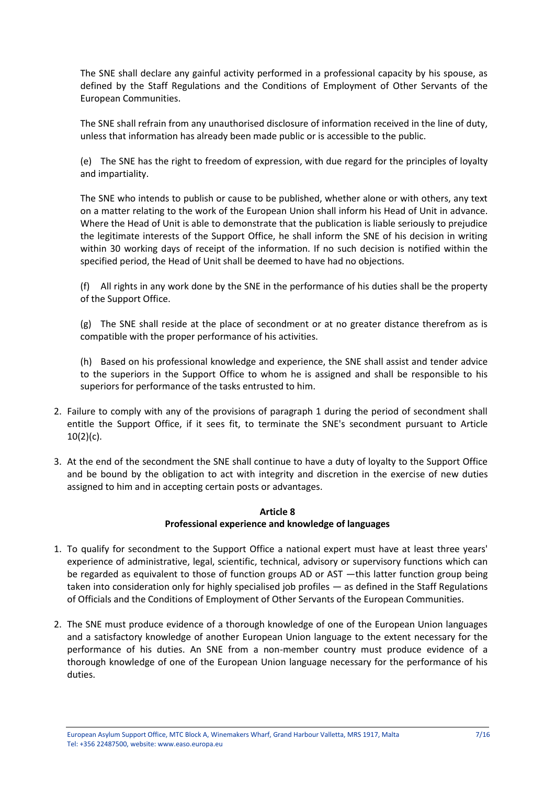The SNE shall declare any gainful activity performed in a professional capacity by his spouse, as defined by the Staff Regulations and the Conditions of Employment of Other Servants of the European Communities.

The SNE shall refrain from any unauthorised disclosure of information received in the line of duty, unless that information has already been made public or is accessible to the public.

(e) The SNE has the right to freedom of expression, with due regard for the principles of loyalty and impartiality.

The SNE who intends to publish or cause to be published, whether alone or with others, any text on a matter relating to the work of the European Union shall inform his Head of Unit in advance. Where the Head of Unit is able to demonstrate that the publication is liable seriously to prejudice the legitimate interests of the Support Office, he shall inform the SNE of his decision in writing within 30 working days of receipt of the information. If no such decision is notified within the specified period, the Head of Unit shall be deemed to have had no objections.

(f) All rights in any work done by the SNE in the performance of his duties shall be the property of the Support Office.

(g) The SNE shall reside at the place of secondment or at no greater distance therefrom as is compatible with the proper performance of his activities.

(h) Based on his professional knowledge and experience, the SNE shall assist and tender advice to the superiors in the Support Office to whom he is assigned and shall be responsible to his superiors for performance of the tasks entrusted to him.

- 2. Failure to comply with any of the provisions of paragraph 1 during the period of secondment shall entitle the Support Office, if it sees fit, to terminate the SNE's secondment pursuant to Article 10(2)(c).
- 3. At the end of the secondment the SNE shall continue to have a duty of loyalty to the Support Office and be bound by the obligation to act with integrity and discretion in the exercise of new duties assigned to him and in accepting certain posts or advantages.

## **Article 8**

#### **Professional experience and knowledge of languages**

- 1. To qualify for secondment to the Support Office a national expert must have at least three years' experience of administrative, legal, scientific, technical, advisory or supervisory functions which can be regarded as equivalent to those of function groups AD or AST —this latter function group being taken into consideration only for highly specialised job profiles — as defined in the Staff Regulations of Officials and the Conditions of Employment of Other Servants of the European Communities.
- 2. The SNE must produce evidence of a thorough knowledge of one of the European Union languages and a satisfactory knowledge of another European Union language to the extent necessary for the performance of his duties. An SNE from a non-member country must produce evidence of a thorough knowledge of one of the European Union language necessary for the performance of his duties.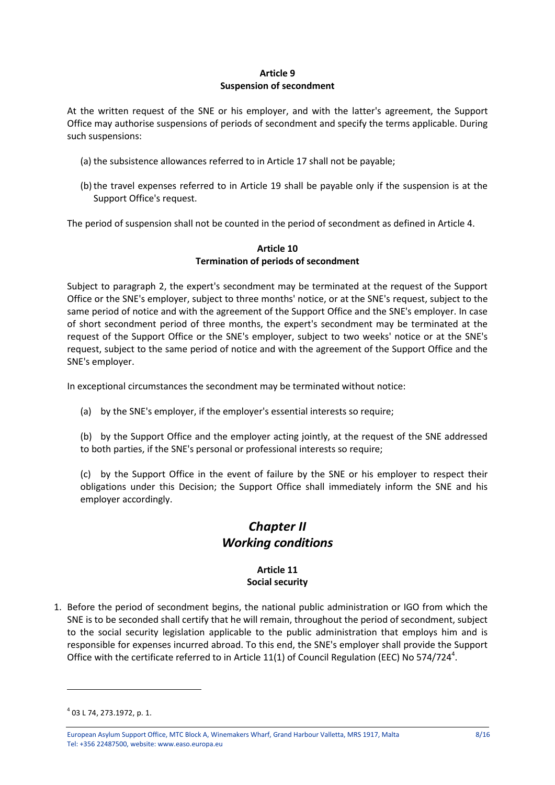## **Article 9 Suspension of secondment**

At the written request of the SNE or his employer, and with the latter's agreement, the Support Office may authorise suspensions of periods of secondment and specify the terms applicable. During such suspensions:

- (a) the subsistence allowances referred to in Article 17 shall not be payable;
- (b)the travel expenses referred to in Article 19 shall be payable only if the suspension is at the Support Office's request.

The period of suspension shall not be counted in the period of secondment as defined in Article 4.

#### **Article 10 Termination of periods of secondment**

Subject to paragraph 2, the expert's secondment may be terminated at the request of the Support Office or the SNE's employer, subject to three months' notice, or at the SNE's request, subject to the same period of notice and with the agreement of the Support Office and the SNE's employer. In case of short secondment period of three months, the expert's secondment may be terminated at the request of the Support Office or the SNE's employer, subject to two weeks' notice or at the SNE's request, subject to the same period of notice and with the agreement of the Support Office and the SNE's employer.

In exceptional circumstances the secondment may be terminated without notice:

(a) by the SNE's employer, if the employer's essential interests so require;

(b) by the Support Office and the employer acting jointly, at the request of the SNE addressed to both parties, if the SNE's personal or professional interests so require;

(c) by the Support Office in the event of failure by the SNE or his employer to respect their obligations under this Decision; the Support Office shall immediately inform the SNE and his employer accordingly.

# *Chapter II Working conditions*

## **Article 11 Social security**

1. Before the period of secondment begins, the national public administration or IGO from which the SNE is to be seconded shall certify that he will remain, throughout the period of secondment, subject to the social security legislation applicable to the public administration that employs him and is responsible for expenses incurred abroad. To this end, the SNE's employer shall provide the Support Office with the certificate referred to in Article 11(1) of Council Regulation (EEC) No 574/724<sup>4</sup>.

<u>.</u>

<sup>4</sup> 03 L 74, 273.1972, p. 1.

European Asylum Support Office, MTC Block A, Winemakers Wharf, Grand Harbour Valletta, MRS 1917, Malta 8/16 Tel: +356 22487500, website: www.easo.europa.eu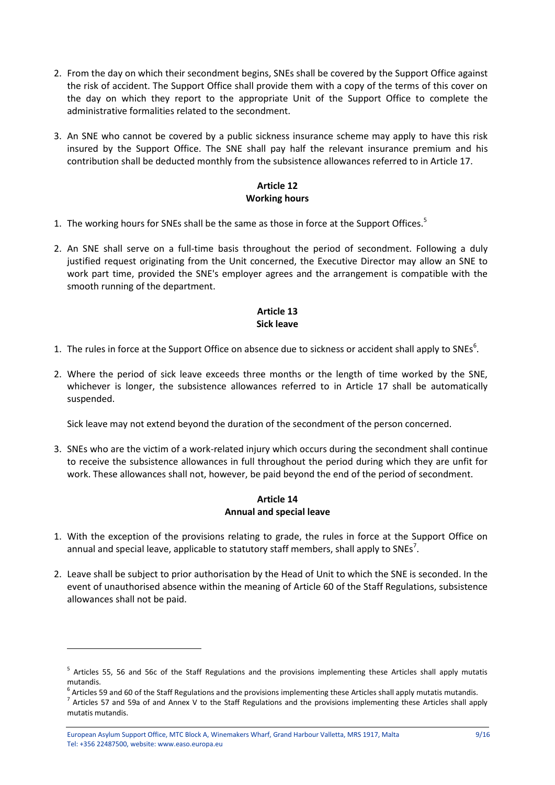- 2. From the day on which their secondment begins, SNEs shall be covered by the Support Office against the risk of accident. The Support Office shall provide them with a copy of the terms of this cover on the day on which they report to the appropriate Unit of the Support Office to complete the administrative formalities related to the secondment.
- 3. An SNE who cannot be covered by a public sickness insurance scheme may apply to have this risk insured by the Support Office. The SNE shall pay half the relevant insurance premium and his contribution shall be deducted monthly from the subsistence allowances referred to in Article 17.

## **Article 12 Working hours**

- 1. The working hours for SNEs shall be the same as those in force at the Support Offices.<sup>5</sup>
- 2. An SNE shall serve on a full-time basis throughout the period of secondment. Following a duly justified request originating from the Unit concerned, the Executive Director may allow an SNE to work part time, provided the SNE's employer agrees and the arrangement is compatible with the smooth running of the department.

## **Article 13 Sick leave**

- 1. The rules in force at the Support Office on absence due to sickness or accident shall apply to SNEs<sup>6</sup>.
- 2. Where the period of sick leave exceeds three months or the length of time worked by the SNE, whichever is longer, the subsistence allowances referred to in Article 17 shall be automatically suspended.

Sick leave may not extend beyond the duration of the secondment of the person concerned.

3. SNEs who are the victim of a work-related injury which occurs during the secondment shall continue to receive the subsistence allowances in full throughout the period during which they are unfit for work. These allowances shall not, however, be paid beyond the end of the period of secondment.

## **Article 14 Annual and special leave**

- 1. With the exception of the provisions relating to grade, the rules in force at the Support Office on annual and special leave, applicable to statutory staff members, shall apply to SNEs<sup>7</sup>.
- 2. Leave shall be subject to prior authorisation by the Head of Unit to which the SNE is seconded. In the event of unauthorised absence within the meaning of Article 60 of the Staff Regulations, subsistence allowances shall not be paid.

<u>.</u>

<sup>&</sup>lt;sup>5</sup> Articles 55, 56 and 56c of the Staff Regulations and the provisions implementing these Articles shall apply mutatis mutandis.

<sup>&</sup>lt;sup>6</sup> Articles 59 and 60 of the Staff Regulations and the provisions implementing these Articles shall apply mutatis mutandis.

 $^7$  Articles 57 and 59a of and Annex V to the Staff Regulations and the provisions implementing these Articles shall apply mutatis mutandis.

European Asylum Support Office, MTC Block A, Winemakers Wharf, Grand Harbour Valletta, MRS 1917, Malta 9/16 Tel: +356 22487500, website: www.easo.europa.eu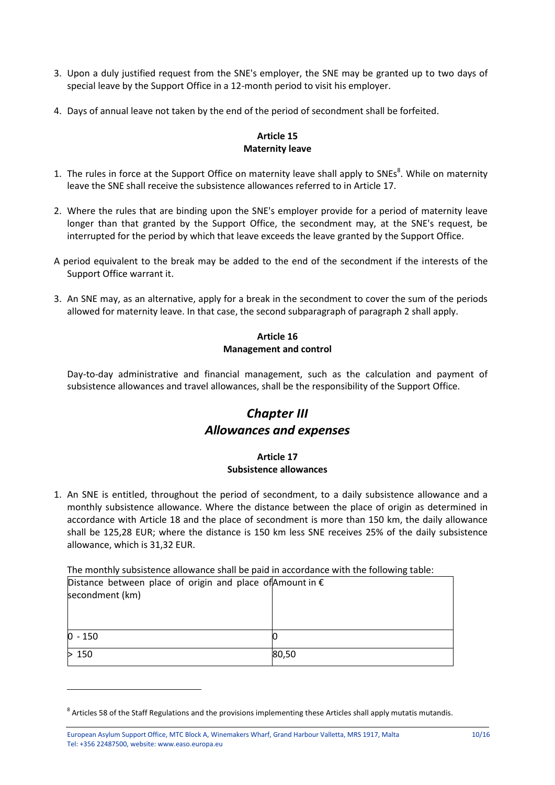- 3. Upon a duly justified request from the SNE's employer, the SNE may be granted up to two days of special leave by the Support Office in a 12-month period to visit his employer.
- 4. Days of annual leave not taken by the end of the period of secondment shall be forfeited.

## **Article 15 Maternity leave**

- 1. The rules in force at the Support Office on maternity leave shall apply to SNEs<sup>8</sup>. While on maternity leave the SNE shall receive the subsistence allowances referred to in Article 17.
- 2. Where the rules that are binding upon the SNE's employer provide for a period of maternity leave longer than that granted by the Support Office, the secondment may, at the SNE's request, be interrupted for the period by which that leave exceeds the leave granted by the Support Office.
- A period equivalent to the break may be added to the end of the secondment if the interests of the Support Office warrant it.
- 3. An SNE may, as an alternative, apply for a break in the secondment to cover the sum of the periods allowed for maternity leave. In that case, the second subparagraph of paragraph 2 shall apply.

## **Article 16 Management and control**

Day-to-day administrative and financial management, such as the calculation and payment of subsistence allowances and travel allowances, shall be the responsibility of the Support Office.

# *Chapter III Allowances and expenses*

## **Article 17 Subsistence allowances**

1. An SNE is entitled, throughout the period of secondment, to a daily subsistence allowance and a monthly subsistence allowance. Where the distance between the place of origin as determined in accordance with Article 18 and the place of secondment is more than 150 km, the daily allowance shall be 125,28 EUR; where the distance is 150 km less SNE receives 25% of the daily subsistence allowance, which is 31,32 EUR.

The monthly subsistence allowance shall be paid in accordance with the following table:

| Distance between place of origin and place of Amount in $\epsilon$ |       |
|--------------------------------------------------------------------|-------|
| secondment (km)                                                    |       |
|                                                                    |       |
|                                                                    |       |
| $0 - 150$                                                          |       |
| >150                                                               | 80,50 |

<u>.</u>

 $^8$  Articles 58 of the Staff Regulations and the provisions implementing these Articles shall apply mutatis mutandis.

European Asylum Support Office, MTC Block A, Winemakers Wharf, Grand Harbour Valletta, MRS 1917, Malta 10/16 Tel: +356 22487500, website: www.easo.europa.eu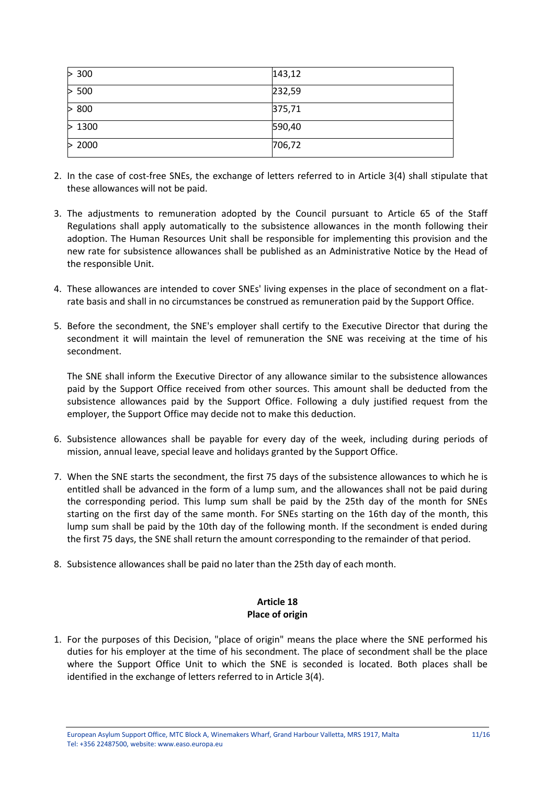| > 300  | 143,12 |
|--------|--------|
| > 500  | 232,59 |
| > 800  | 375,71 |
| >1300  | 590,40 |
| > 2000 | 706,72 |

- 2. In the case of cost-free SNEs, the exchange of letters referred to in Article 3(4) shall stipulate that these allowances will not be paid.
- 3. The adjustments to remuneration adopted by the Council pursuant to Article 65 of the Staff Regulations shall apply automatically to the subsistence allowances in the month following their adoption. The Human Resources Unit shall be responsible for implementing this provision and the new rate for subsistence allowances shall be published as an Administrative Notice by the Head of the responsible Unit.
- 4. These allowances are intended to cover SNEs' living expenses in the place of secondment on a flatrate basis and shall in no circumstances be construed as remuneration paid by the Support Office.
- 5. Before the secondment, the SNE's employer shall certify to the Executive Director that during the secondment it will maintain the level of remuneration the SNE was receiving at the time of his secondment.

The SNE shall inform the Executive Director of any allowance similar to the subsistence allowances paid by the Support Office received from other sources. This amount shall be deducted from the subsistence allowances paid by the Support Office. Following a duly justified request from the employer, the Support Office may decide not to make this deduction.

- 6. Subsistence allowances shall be payable for every day of the week, including during periods of mission, annual leave, special leave and holidays granted by the Support Office.
- 7. When the SNE starts the secondment, the first 75 days of the subsistence allowances to which he is entitled shall be advanced in the form of a lump sum, and the allowances shall not be paid during the corresponding period. This lump sum shall be paid by the 25th day of the month for SNEs starting on the first day of the same month. For SNEs starting on the 16th day of the month, this lump sum shall be paid by the 10th day of the following month. If the secondment is ended during the first 75 days, the SNE shall return the amount corresponding to the remainder of that period.
- 8. Subsistence allowances shall be paid no later than the 25th day of each month.

## **Article 18 Place of origin**

1. For the purposes of this Decision, "place of origin" means the place where the SNE performed his duties for his employer at the time of his secondment. The place of secondment shall be the place where the Support Office Unit to which the SNE is seconded is located. Both places shall be identified in the exchange of letters referred to in Article 3(4).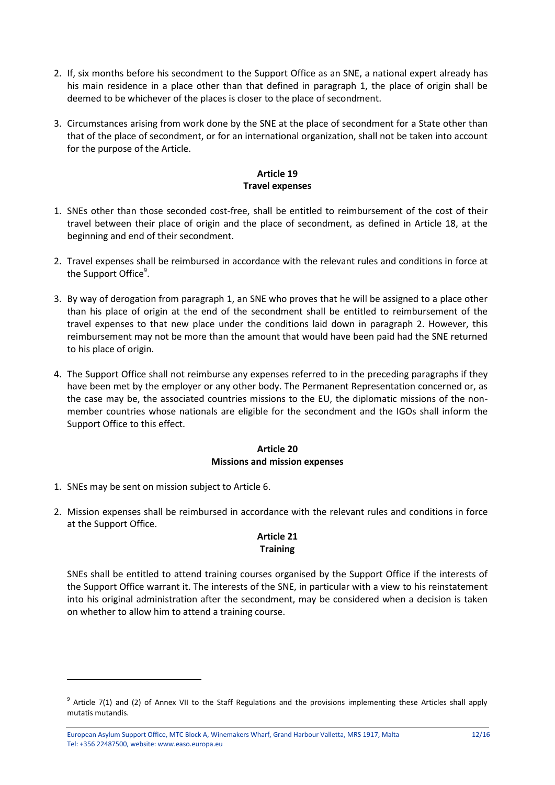- 2. If, six months before his secondment to the Support Office as an SNE, a national expert already has his main residence in a place other than that defined in paragraph 1, the place of origin shall be deemed to be whichever of the places is closer to the place of secondment.
- 3. Circumstances arising from work done by the SNE at the place of secondment for a State other than that of the place of secondment, or for an international organization, shall not be taken into account for the purpose of the Article.

## **Article 19 Travel expenses**

- 1. SNEs other than those seconded cost-free, shall be entitled to reimbursement of the cost of their travel between their place of origin and the place of secondment, as defined in Article 18, at the beginning and end of their secondment.
- 2. Travel expenses shall be reimbursed in accordance with the relevant rules and conditions in force at the Support Office<sup>9</sup>.
- 3. By way of derogation from paragraph 1, an SNE who proves that he will be assigned to a place other than his place of origin at the end of the secondment shall be entitled to reimbursement of the travel expenses to that new place under the conditions laid down in paragraph 2. However, this reimbursement may not be more than the amount that would have been paid had the SNE returned to his place of origin.
- 4. The Support Office shall not reimburse any expenses referred to in the preceding paragraphs if they have been met by the employer or any other body. The Permanent Representation concerned or, as the case may be, the associated countries missions to the EU, the diplomatic missions of the nonmember countries whose nationals are eligible for the secondment and the IGOs shall inform the Support Office to this effect.

#### **Article 20 Missions and mission expenses**

1. SNEs may be sent on mission subject to Article 6.

<u>.</u>

2. Mission expenses shall be reimbursed in accordance with the relevant rules and conditions in force at the Support Office.

## **Article 21 Training**

SNEs shall be entitled to attend training courses organised by the Support Office if the interests of the Support Office warrant it. The interests of the SNE, in particular with a view to his reinstatement into his original administration after the secondment, may be considered when a decision is taken on whether to allow him to attend a training course.

 $9$  Article 7(1) and (2) of Annex VII to the Staff Regulations and the provisions implementing these Articles shall apply mutatis mutandis.

European Asylum Support Office, MTC Block A, Winemakers Wharf, Grand Harbour Valletta, MRS 1917, Malta 12/16 Tel: +356 22487500, website: www.easo.europa.eu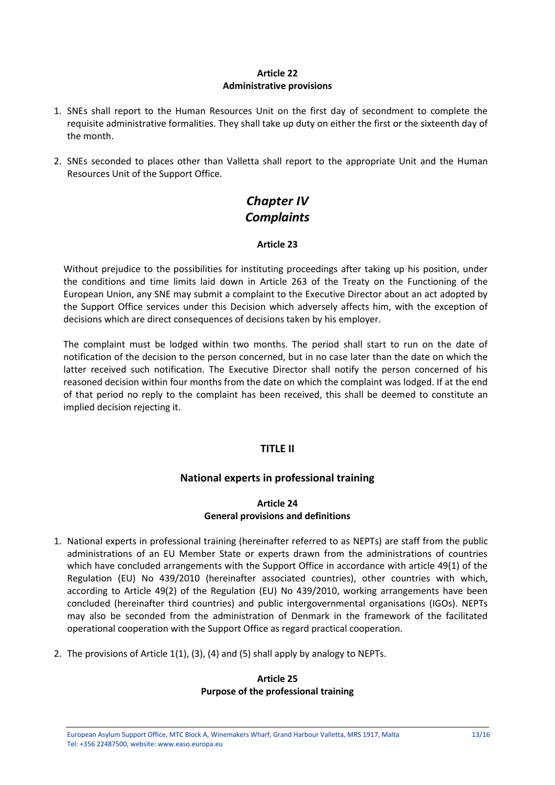## **Article 22 Administrative provisions**

- 1. SNEs shall report to the Human Resources Unit on the first day of secondment to complete the requisite administrative formalities. They shall take up duty on either the first or the sixteenth day of the month.
- 2. SNEs seconded to places other than Valletta shall report to the appropriate Unit and the Human Resources Unit of the Support Office.

# *Chapter IV Complaints*

## **Article 23**

Without prejudice to the possibilities for instituting proceedings after taking up his position, under the conditions and time limits laid down in Article 263 of the Treaty on the Functioning of the European Union, any SNE may submit a complaint to the Executive Director about an act adopted by the Support Office services under this Decision which adversely affects him, with the exception of decisions which are direct consequences of decisions taken by his employer.

The complaint must be lodged within two months. The period shall start to run on the date of notification of the decision to the person concerned, but in no case later than the date on which the latter received such notification. The Executive Director shall notify the person concerned of his reasoned decision within four months from the date on which the complaint was lodged. If at the end of that period no reply to the complaint has been received, this shall be deemed to constitute an implied decision rejecting it.

## **TITLE II**

## **National experts in professional training**

#### **Article 24 General provisions and definitions**

- 1. National experts in professional training (hereinafter referred to as NEPTs) are staff from the public administrations of an EU Member State or experts drawn from the administrations of countries which have concluded arrangements with the Support Office in accordance with article 49(1) of the Regulation (EU) No 439/2010 (hereinafter associated countries), other countries with which, according to Article 49(2) of the Regulation (EU) No 439/2010, working arrangements have been concluded (hereinafter third countries) and public intergovernmental organisations (IGOs). NEPTs may also be seconded from the administration of Denmark in the framework of the facilitated operational cooperation with the Support Office as regard practical cooperation.
- 2. The provisions of Article 1(1), (3), (4) and (5) shall apply by analogy to NEPTs.

#### **Article 25 Purpose of the professional training**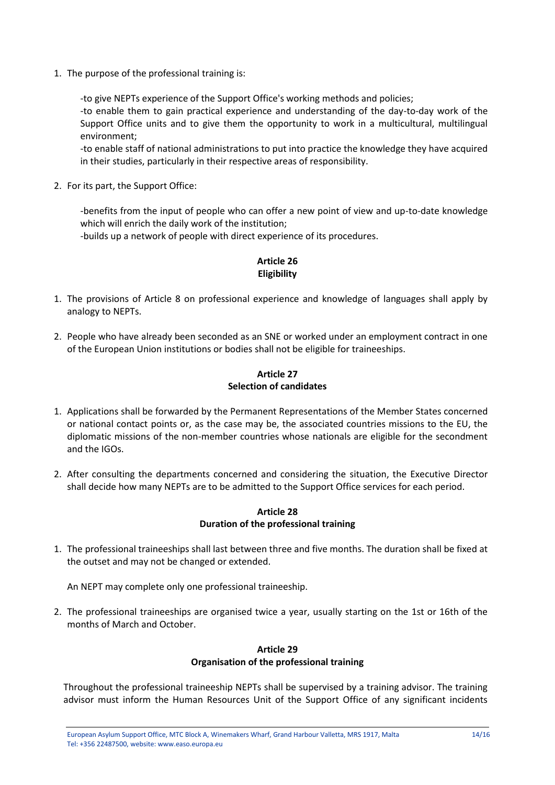1. The purpose of the professional training is:

-to give NEPTs experience of the Support Office's working methods and policies;

-to enable them to gain practical experience and understanding of the day-to-day work of the Support Office units and to give them the opportunity to work in a multicultural, multilingual environment;

-to enable staff of national administrations to put into practice the knowledge they have acquired in their studies, particularly in their respective areas of responsibility.

2. For its part, the Support Office:

-benefits from the input of people who can offer a new point of view and up-to-date knowledge which will enrich the daily work of the institution;

-builds up a network of people with direct experience of its procedures.

## **Article 26 Eligibility**

- 1. The provisions of Article 8 on professional experience and knowledge of languages shall apply by analogy to NEPTs.
- 2. People who have already been seconded as an SNE or worked under an employment contract in one of the European Union institutions or bodies shall not be eligible for traineeships.

## **Article 27 Selection of candidates**

- 1. Applications shall be forwarded by the Permanent Representations of the Member States concerned or national contact points or, as the case may be, the associated countries missions to the EU, the diplomatic missions of the non-member countries whose nationals are eligible for the secondment and the IGOs.
- 2. After consulting the departments concerned and considering the situation, the Executive Director shall decide how many NEPTs are to be admitted to the Support Office services for each period.

#### **Article 28 Duration of the professional training**

1. The professional traineeships shall last between three and five months. The duration shall be fixed at the outset and may not be changed or extended.

An NEPT may complete only one professional traineeship.

2. The professional traineeships are organised twice a year, usually starting on the 1st or 16th of the months of March and October.

## **Article 29 Organisation of the professional training**

Throughout the professional traineeship NEPTs shall be supervised by a training advisor. The training advisor must inform the Human Resources Unit of the Support Office of any significant incidents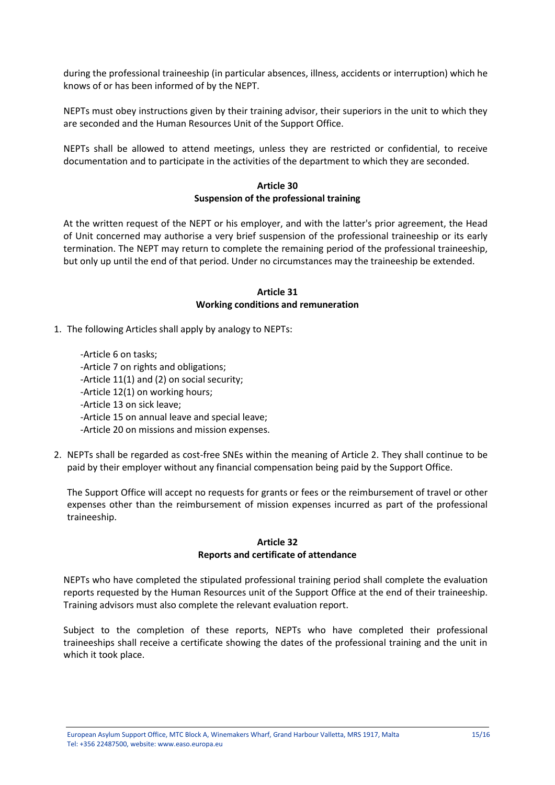during the professional traineeship (in particular absences, illness, accidents or interruption) which he knows of or has been informed of by the NEPT.

NEPTs must obey instructions given by their training advisor, their superiors in the unit to which they are seconded and the Human Resources Unit of the Support Office.

NEPTs shall be allowed to attend meetings, unless they are restricted or confidential, to receive documentation and to participate in the activities of the department to which they are seconded.

#### **Article 30 Suspension of the professional training**

At the written request of the NEPT or his employer, and with the latter's prior agreement, the Head of Unit concerned may authorise a very brief suspension of the professional traineeship or its early termination. The NEPT may return to complete the remaining period of the professional traineeship, but only up until the end of that period. Under no circumstances may the traineeship be extended.

#### **Article 31 Working conditions and remuneration**

1. The following Articles shall apply by analogy to NEPTs:

-Article 6 on tasks; -Article 7 on rights and obligations; -Article 11(1) and (2) on social security; -Article 12(1) on working hours; -Article 13 on sick leave; -Article 15 on annual leave and special leave; -Article 20 on missions and mission expenses.

2. NEPTs shall be regarded as cost-free SNEs within the meaning of Article 2. They shall continue to be paid by their employer without any financial compensation being paid by the Support Office.

The Support Office will accept no requests for grants or fees or the reimbursement of travel or other expenses other than the reimbursement of mission expenses incurred as part of the professional traineeship.

## **Article 32 Reports and certificate of attendance**

NEPTs who have completed the stipulated professional training period shall complete the evaluation reports requested by the Human Resources unit of the Support Office at the end of their traineeship. Training advisors must also complete the relevant evaluation report.

Subject to the completion of these reports, NEPTs who have completed their professional traineeships shall receive a certificate showing the dates of the professional training and the unit in which it took place.